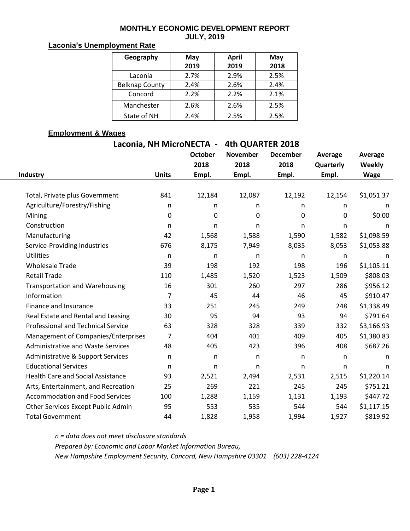#### **MONTHLY ECONOMIC DEVELOPMENT REPORT JULY, 2019**

#### **Laconia's Unemployment Rate**

| Geography             | May  | <b>April</b> | May  |  |  |
|-----------------------|------|--------------|------|--|--|
|                       | 2019 | 2019         | 2018 |  |  |
| Laconia               | 2.7% | 2.9%         | 2.5% |  |  |
| <b>Belknap County</b> | 2.4% | 2.6%         | 2.4% |  |  |
| Concord               | 2.2% | 2.2%         | 2.1% |  |  |
| Manchester            | 2.6% | 2.6%         | 2.5% |  |  |
| State of NH           | 2.4% | 2.5%         | 2.5% |  |  |

### **Employment & Wages**

| Laconia, NH MicroNECTA - | 4th QUARTER 2018 |
|--------------------------|------------------|
|--------------------------|------------------|

|                                           |                | <b>October</b> | <b>November</b> | <b>December</b> | Average   | Average     |  |
|-------------------------------------------|----------------|----------------|-----------------|-----------------|-----------|-------------|--|
|                                           |                | 2018           | 2018            | 2018            | Quarterly | Weekly      |  |
| Industry                                  | <b>Units</b>   | Empl.          | Empl.           | Empl.           | Empl.     | <b>Wage</b> |  |
|                                           |                |                |                 |                 |           |             |  |
| Total, Private plus Government            | 841            | 12,184         | 12,087          | 12,192          | 12,154    | \$1,051.37  |  |
| Agriculture/Forestry/Fishing              | n              | n              | n.              | n               | n.        | n           |  |
| Mining                                    | 0              | $\mathbf 0$    | 0               | 0               | 0         | \$0.00      |  |
| Construction                              | n              | n              | n               | n               | n         | n           |  |
| Manufacturing                             | 42             | 1,568          | 1,588           | 1,590           | 1,582     | \$1,098.59  |  |
| Service-Providing Industries              | 676            | 8,175          | 7,949           | 8,035           | 8,053     | \$1,053.88  |  |
| <b>Utilities</b>                          | n              | n              | n               | n               | n         | n           |  |
| <b>Wholesale Trade</b>                    | 39             | 198            | 192             | 198             | 196       | \$1,105.11  |  |
| <b>Retail Trade</b>                       | 110            | 1,485          | 1,520           | 1,523           | 1,509     | \$808.03    |  |
| <b>Transportation and Warehousing</b>     | 16             | 301            | 260             | 297             | 286       | \$956.12    |  |
| Information                               | $\overline{7}$ | 45             | 44              | 46              | 45        | \$910.47    |  |
| Finance and Insurance                     | 33             | 251            | 245             | 249             | 248       | \$1,338.49  |  |
| Real Estate and Rental and Leasing        | 30             | 95             | 94              | 93              | 94        | \$791.64    |  |
| <b>Professional and Technical Service</b> | 63             | 328            | 328             | 339             | 332       | \$3,166.93  |  |
| Management of Companies/Enterprises       | 7              | 404            | 401             | 409             | 405       | \$1,380.83  |  |
| <b>Administrative and Waste Services</b>  | 48             | 405            | 423             | 396             | 408       | \$687.26    |  |
| Administrative & Support Services         | n              | n              | n.              | n               | n         | n           |  |
| <b>Educational Services</b>               | n              | n              | n               | n               | n         | n           |  |
| <b>Health Care and Social Assistance</b>  | 93             | 2,521          | 2,494           | 2,531           | 2,515     | \$1,220.14  |  |
| Arts, Entertainment, and Recreation       | 25             | 269            | 221             | 245             | 245       | \$751.21    |  |
| <b>Accommodation and Food Services</b>    | 100            | 1,288          | 1,159           | 1,131           | 1,193     | \$447.72    |  |
| Other Services Except Public Admin        | 95             | 553            | 535             | 544             | 544       | \$1,117.15  |  |
| <b>Total Government</b>                   | 44             | 1,828          | 1,958           | 1,994           | 1,927     | \$819.92    |  |

*n = data does not meet disclosure standards*

*Prepared by: Economic and Labor Market Information Bureau,* 

*New Hampshire Employment Security, Concord, New Hampshire 03301 (603) 228-4124*